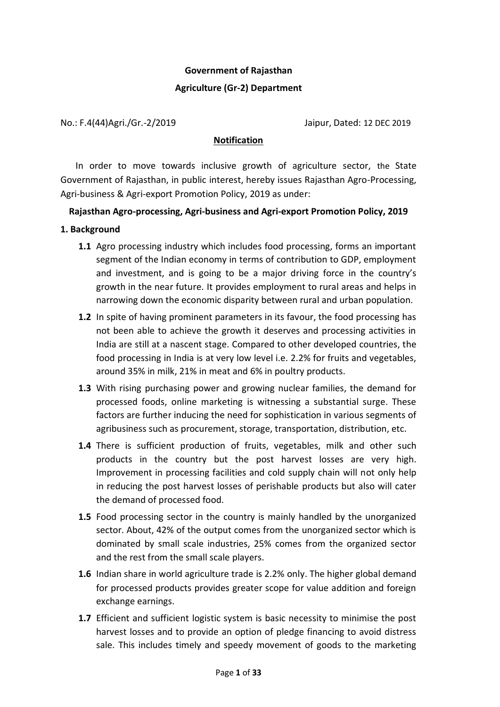# **Government of Rajasthan**

### **Agriculture (Gr-2) Department**

No.: F.4(44)Agri./Gr.-2/2019 Jaipur, Dated: 12 DEC 2019

#### **Notification**

In order to move towards inclusive growth of agriculture sector, the State Government of Rajasthan, in public interest, hereby issues Rajasthan Agro-Processing, Agri-business & Agri-export Promotion Policy, 2019 as under:

# **Rajasthan Agro-processing, Agri-business and Agri-export Promotion Policy, 2019**

### **1. Background**

- **1.1** Agro processing industry which includes food processing, forms an important segment of the Indian economy in terms of contribution to GDP, employment and investment, and is going to be a major driving force in the country's growth in the near future. It provides employment to rural areas and helps in narrowing down the economic disparity between rural and urban population.
- **1.2** In spite of having prominent parameters in its favour, the food processing has not been able to achieve the growth it deserves and processing activities in India are still at a nascent stage. Compared to other developed countries, the food processing in India is at very low level i.e. 2.2% for fruits and vegetables, around 35% in milk, 21% in meat and 6% in poultry products.
- **1.3** With rising purchasing power and growing nuclear families, the demand for processed foods, online marketing is witnessing a substantial surge. These factors are further inducing the need for sophistication in various segments of agribusiness such as procurement, storage, transportation, distribution, etc.
- **1.4** There is sufficient production of fruits, vegetables, milk and other such products in the country but the post harvest losses are very high. Improvement in processing facilities and cold supply chain will not only help in reducing the post harvest losses of perishable products but also will cater the demand of processed food.
- **1.5** Food processing sector in the country is mainly handled by the unorganized sector. About, 42% of the output comes from the unorganized sector which is dominated by small scale industries, 25% comes from the organized sector and the rest from the small scale players.
- **1.6** Indian share in world agriculture trade is 2.2% only. The higher global demand for processed products provides greater scope for value addition and foreign exchange earnings.
- **1.7** Efficient and sufficient logistic system is basic necessity to minimise the post harvest losses and to provide an option of pledge financing to avoid distress sale. This includes timely and speedy movement of goods to the marketing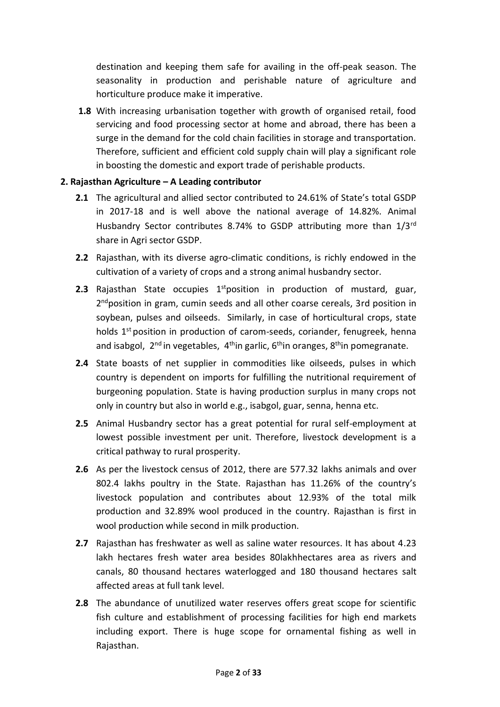destination and keeping them safe for availing in the off-peak season. The seasonality in production and perishable nature of agriculture and horticulture produce make it imperative.

**1.8** With increasing urbanisation together with growth of organised retail, food servicing and food processing sector at home and abroad, there has been a surge in the demand for the cold chain facilities in storage and transportation. Therefore, sufficient and efficient cold supply chain will play a significant role in boosting the domestic and export trade of perishable products.

# **2. Rajasthan Agriculture – A Leading contributor**

- **2.1** The agricultural and allied sector contributed to 24.61% of State's total GSDP in 2017-18 and is well above the national average of 14.82%. Animal Husbandry Sector contributes 8.74% to GSDP attributing more than 1/3rd share in Agri sector GSDP.
- **2.2** Rajasthan, with its diverse agro-climatic conditions, is richly endowed in the cultivation of a variety of crops and a strong animal husbandry sector.
- **2.3** Rajasthan State occupies  $1^{st}$  position in production of mustard, guar, 2<sup>nd</sup>position in gram, cumin seeds and all other coarse cereals, 3rd position in soybean, pulses and oilseeds. Similarly, in case of horticultural crops, state holds  $1<sup>st</sup>$  position in production of carom-seeds, coriander, fenugreek, henna and isabgol,  $2^{nd}$  in vegetables,  $4^{th}$ in garlic,  $6^{th}$ in oranges,  $8^{th}$ in pomegranate.
- **2.4** State boasts of net supplier in commodities like oilseeds, pulses in which country is dependent on imports for fulfilling the nutritional requirement of burgeoning population. State is having production surplus in many crops not only in country but also in world e.g., isabgol, guar, senna, henna etc.
- **2.5** Animal Husbandry sector has a great potential for rural self-employment at lowest possible investment per unit. Therefore, livestock development is a critical pathway to rural prosperity.
- **2.6** As per the livestock census of 2012, there are 577.32 lakhs animals and over 802.4 lakhs poultry in the State. Rajasthan has 11.26% of the country's livestock population and contributes about 12.93% of the total milk production and 32.89% wool produced in the country. Rajasthan is first in wool production while second in milk production.
- **2.7** Rajasthan has freshwater as well as saline water resources. It has about 4.23 lakh hectares fresh water area besides 80lakhhectares area as rivers and canals, 80 thousand hectares waterlogged and 180 thousand hectares salt affected areas at full tank level.
- **2.8** The abundance of unutilized water reserves offers great scope for scientific fish culture and establishment of processing facilities for high end markets including export. There is huge scope for ornamental fishing as well in Rajasthan.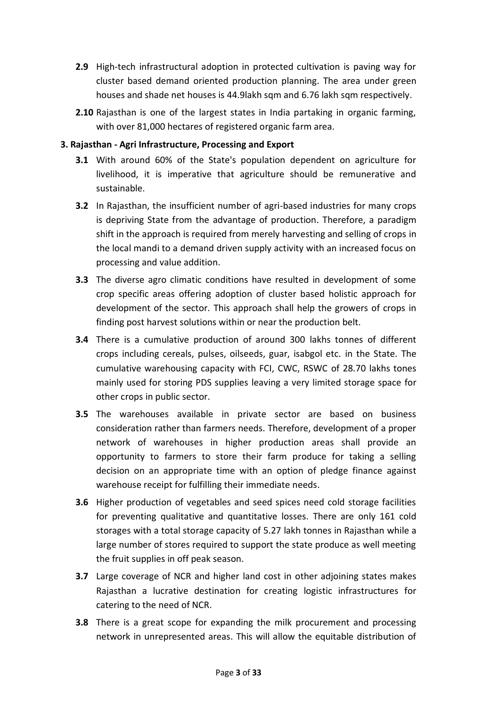- **2.9** High-tech infrastructural adoption in protected cultivation is paving way for cluster based demand oriented production planning. The area under green houses and shade net houses is 44.9lakh sqm and 6.76 lakh sqm respectively.
- **2.10** Rajasthan is one of the largest states in India partaking in organic farming, with over 81,000 hectares of registered organic farm area.

### **3. Rajasthan - Agri Infrastructure, Processing and Export**

- **3.1** With around 60% of the State's population dependent on agriculture for livelihood, it is imperative that agriculture should be remunerative and sustainable.
- **3.2** In Rajasthan, the insufficient number of agri-based industries for many crops is depriving State from the advantage of production. Therefore, a paradigm shift in the approach is required from merely harvesting and selling of crops in the local mandi to a demand driven supply activity with an increased focus on processing and value addition.
- **3.3** The diverse agro climatic conditions have resulted in development of some crop specific areas offering adoption of cluster based holistic approach for development of the sector. This approach shall help the growers of crops in finding post harvest solutions within or near the production belt.
- **3.4** There is a cumulative production of around 300 lakhs tonnes of different crops including cereals, pulses, oilseeds, guar, isabgol etc. in the State. The cumulative warehousing capacity with FCI, CWC, RSWC of 28.70 lakhs tones mainly used for storing PDS supplies leaving a very limited storage space for other crops in public sector.
- **3.5** The warehouses available in private sector are based on business consideration rather than farmers needs. Therefore, development of a proper network of warehouses in higher production areas shall provide an opportunity to farmers to store their farm produce for taking a selling decision on an appropriate time with an option of pledge finance against warehouse receipt for fulfilling their immediate needs.
- **3.6** Higher production of vegetables and seed spices need cold storage facilities for preventing qualitative and quantitative losses. There are only 161 cold storages with a total storage capacity of 5.27 lakh tonnes in Rajasthan while a large number of stores required to support the state produce as well meeting the fruit supplies in off peak season.
- **3.7** Large coverage of NCR and higher land cost in other adjoining states makes Rajasthan a lucrative destination for creating logistic infrastructures for catering to the need of NCR.
- **3.8** There is a great scope for expanding the milk procurement and processing network in unrepresented areas. This will allow the equitable distribution of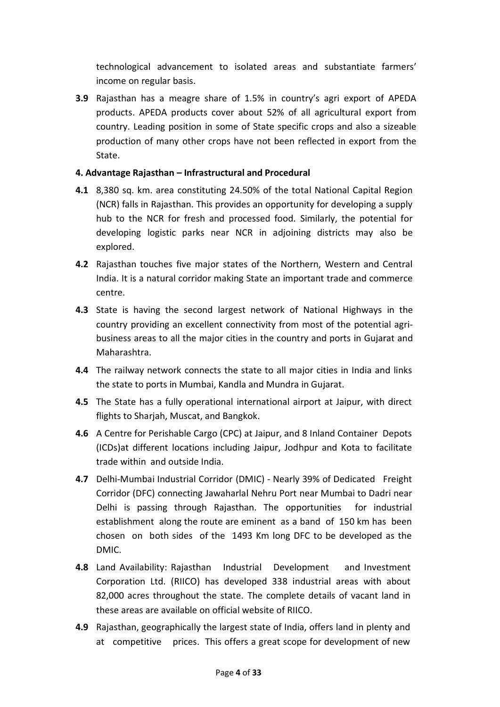technological advancement to isolated areas and substantiate farmers' income on regular basis.

**3.9** Rajasthan has a meagre share of 1.5% in country's agri export of APEDA products. APEDA products cover about 52% of all agricultural export from country. Leading position in some of State specific crops and also a sizeable production of many other crops have not been reflected in export from the State.

# **4. Advantage Rajasthan – Infrastructural and Procedural**

- **4.1** 8,380 sq. km. area constituting 24.50% of the total National Capital Region (NCR) falls in Rajasthan. This provides an opportunity for developing a supply hub to the NCR for fresh and processed food. Similarly, the potential for developing logistic parks near NCR in adjoining districts may also be explored.
- **4.2** Rajasthan touches five major states of the Northern, Western and Central India. It is a natural corridor making State an important trade and commerce centre.
- **4.3** State is having the second largest network of National Highways in the country providing an excellent connectivity from most of the potential agribusiness areas to all the major cities in the country and ports in Gujarat and Maharashtra.
- **4.4** The railway network connects the state to all major cities in India and links the state to ports in Mumbai, Kandla and Mundra in Gujarat.
- **4.5** The State has a fully operational international airport at Jaipur, with direct flights to Sharjah, Muscat, and Bangkok.
- **4.6** A Centre for Perishable Cargo (CPC) at Jaipur, and 8 Inland Container Depots (ICDs)at different locations including Jaipur, Jodhpur and Kota to facilitate trade within and outside India.
- **4.7** Delhi-Mumbai Industrial Corridor (DMIC) Nearly 39% of Dedicated Freight Corridor (DFC) connecting Jawaharlal Nehru Port near Mumbai to Dadri near Delhi is passing through Rajasthan. The opportunities for industrial establishment along the route are eminent as a band of 150 km has been chosen on both sides of the 1493 Km long DFC to be developed as the DMIC.
- **4.8** Land Availability: Rajasthan Industrial Development and Investment Corporation Ltd. (RIICO) has developed 338 industrial areas with about 82,000 acres throughout the state. The complete details of vacant land in these areas are available on official website of RIICO.
- **4.9** Rajasthan, geographically the largest state of India, offers land in plenty and at competitive prices. This offers a great scope for development of new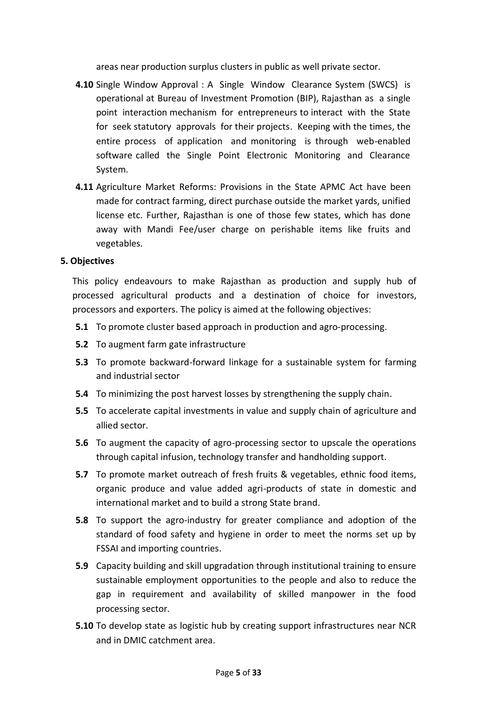areas near production surplus clusters in public as well private sector.

- **4.10** Single Window Approval : A Single Window Clearance System (SWCS) is operational at Bureau of Investment Promotion (BIP), Rajasthan as a single point interaction mechanism for entrepreneurs to interact with the State for seek statutory approvals for their projects. Keeping with the times, the entire process of application and monitoring is through web-enabled software called the Single Point Electronic Monitoring and Clearance System.
- **4.11** Agriculture Market Reforms: Provisions in the State APMC Act have been made for contract farming, direct purchase outside the market yards, unified license etc. Further, Rajasthan is one of those few states, which has done away with Mandi Fee/user charge on perishable items like fruits and vegetables.

#### **5. Objectives**

This policy endeavours to make Rajasthan as production and supply hub of processed agricultural products and a destination of choice for investors, processors and exporters. The policy is aimed at the following objectives:

- **5.1** To promote cluster based approach in production and agro-processing.
- **5.2** To augment farm gate infrastructure
- **5.3** To promote backward-forward linkage for a sustainable system for farming and industrial sector
- **5.4** To minimizing the post harvest losses by strengthening the supply chain.
- **5.5** To accelerate capital investments in value and supply chain of agriculture and allied sector.
- **5.6** To augment the capacity of agro-processing sector to upscale the operations through capital infusion, technology transfer and handholding support.
- **5.7** To promote market outreach of fresh fruits & vegetables, ethnic food items, organic produce and value added agri-products of state in domestic and international market and to build a strong State brand.
- **5.8** To support the agro-industry for greater compliance and adoption of the standard of food safety and hygiene in order to meet the norms set up by FSSAI and importing countries.
- **5.9** Capacity building and skill upgradation through institutional training to ensure sustainable employment opportunities to the people and also to reduce the gap in requirement and availability of skilled manpower in the food processing sector.
- **5.10** To develop state as logistic hub by creating support infrastructures near NCR and in DMIC catchment area.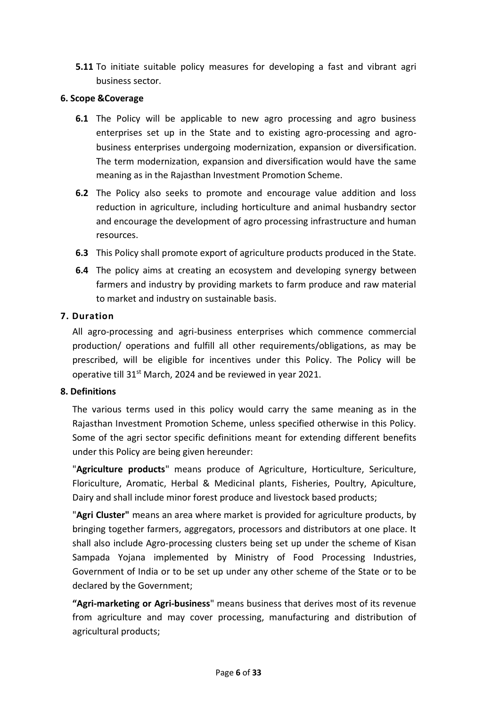**5.11** To initiate suitable policy measures for developing a fast and vibrant agri business sector.

### **6. Scope &Coverage**

- **6.1** The Policy will be applicable to new agro processing and agro business enterprises set up in the State and to existing agro-processing and agrobusiness enterprises undergoing modernization, expansion or diversification. The term modernization, expansion and diversification would have the same meaning as in the Rajasthan Investment Promotion Scheme.
- **6.2** The Policy also seeks to promote and encourage value addition and loss reduction in agriculture, including horticulture and animal husbandry sector and encourage the development of agro processing infrastructure and human resources.
- **6.3** This Policy shall promote export of agriculture products produced in the State.
- **6.4** The policy aims at creating an ecosystem and developing synergy between farmers and industry by providing markets to farm produce and raw material to market and industry on sustainable basis.

### **7. Duration**

All agro-processing and agri-business enterprises which commence commercial production/ operations and fulfill all other requirements/obligations, as may be prescribed, will be eligible for incentives under this Policy. The Policy will be operative till 31<sup>st</sup> March, 2024 and be reviewed in year 2021.

#### **8. Definitions**

The various terms used in this policy would carry the same meaning as in the Rajasthan Investment Promotion Scheme, unless specified otherwise in this Policy. Some of the agri sector specific definitions meant for extending different benefits under this Policy are being given hereunder:

"**Agriculture products**" means produce of Agriculture, Horticulture, Sericulture, Floriculture, Aromatic, Herbal & Medicinal plants, Fisheries, Poultry, Apiculture, Dairy and shall include minor forest produce and livestock based products;

"**Agri Cluster"** means an area where market is provided for agriculture products, by bringing together farmers, aggregators, processors and distributors at one place. It shall also include Agro-processing clusters being set up under the scheme of Kisan Sampada Yojana implemented by Ministry of Food Processing Industries, Government of India or to be set up under any other scheme of the State or to be declared by the Government;

**"Agri-marketing or Agri-business**" means business that derives most of its revenue from agriculture and may cover processing, manufacturing and distribution of agricultural products;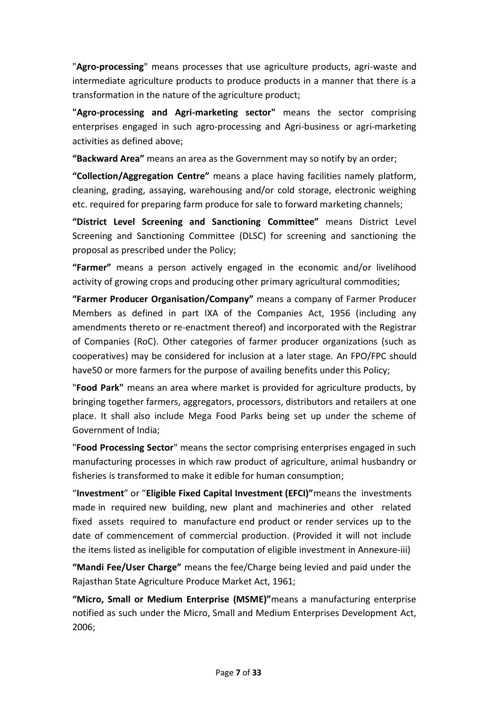"**Agro-processing**" means processes that use agriculture products, agri-waste and intermediate agriculture products to produce products in a manner that there is a transformation in the nature of the agriculture product;

**"Agro-processing and Agri-marketing sector"** means the sector comprising enterprises engaged in such agro-processing and Agri-business or agri-marketing activities as defined above;

**"Backward Area"** means an area as the Government may so notify by an order;

**"Collection/Aggregation Centre"** means a place having facilities namely platform, cleaning, grading, assaying, warehousing and/or cold storage, electronic weighing etc. required for preparing farm produce for sale to forward marketing channels;

**"District Level Screening and Sanctioning Committee"** means District Level Screening and Sanctioning Committee (DLSC) for screening and sanctioning the proposal as prescribed under the Policy;

**"Farmer"** means a person actively engaged in the economic and/or livelihood activity of growing crops and producing other primary agricultural commodities;

**"Farmer Producer Organisation/Company"** means a company of Farmer Producer Members as defined in part IXA of the Companies Act, 1956 (including any amendments thereto or re-enactment thereof) and incorporated with the Registrar of Companies (RoC). Other categories of farmer producer organizations (such as cooperatives) may be considered for inclusion at a later stage. An FPO/FPC should have50 or more farmers for the purpose of availing benefits under this Policy;

"**Food Park"** means an area where market is provided for agriculture products, by bringing together farmers, aggregators, processors, distributors and retailers at one place. It shall also include Mega Food Parks being set up under the scheme of Government of India;

"**Food Processing Sector**" means the sector comprising enterprises engaged in such manufacturing processes in which raw product of agriculture, animal husbandry or fisheries is transformed to make it edible for human consumption;

"**Investment**" or "**Eligible Fixed Capital Investment (EFCI)"**means the investments made in required new building, new plant and machineries and other related fixed assets required to manufacture end product or render services up to the date of commencement of commercial production. (Provided it will not include the items listed as ineligible for computation of eligible investment in Annexure-iii)

**"Mandi Fee/User Charge"** means the fee/Charge being levied and paid under the Rajasthan State Agriculture Produce Market Act, 1961;

**"Micro, Small or Medium Enterprise (MSME)"**means a manufacturing enterprise notified as such under the Micro, Small and Medium Enterprises Development Act, 2006;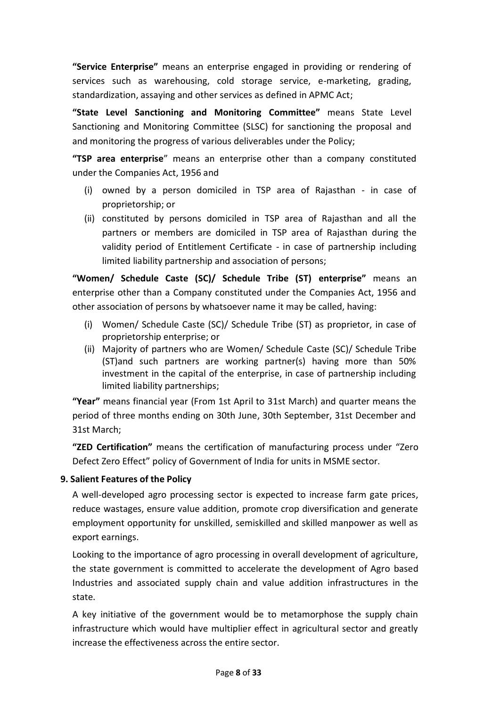**"Service Enterprise"** means an enterprise engaged in providing or rendering of services such as warehousing, cold storage service, e-marketing, grading, standardization, assaying and other services as defined in APMC Act;

**"State Level Sanctioning and Monitoring Committee"** means State Level Sanctioning and Monitoring Committee (SLSC) for sanctioning the proposal and and monitoring the progress of various deliverables under the Policy;

**"TSP area enterprise**" means an enterprise other than a company constituted under the Companies Act, 1956 and

- (i) owned by a person domiciled in TSP area of Rajasthan in case of proprietorship; or
- (ii) constituted by persons domiciled in TSP area of Rajasthan and all the partners or members are domiciled in TSP area of Rajasthan during the validity period of Entitlement Certificate - in case of partnership including limited liability partnership and association of persons;

**"Women/ Schedule Caste (SC)/ Schedule Tribe (ST) enterprise"** means an enterprise other than a Company constituted under the Companies Act, 1956 and other association of persons by whatsoever name it may be called, having:

- (i) Women/ Schedule Caste (SC)/ Schedule Tribe (ST) as proprietor, in case of proprietorship enterprise; or
- (ii) Majority of partners who are Women/ Schedule Caste (SC)/ Schedule Tribe (ST)and such partners are working partner(s) having more than 50% investment in the capital of the enterprise, in case of partnership including limited liability partnerships;

**"Year"** means financial year (From 1st April to 31st March) and quarter means the period of three months ending on 30th June, 30th September, 31st December and 31st March;

**"ZED Certification"** means the certification of manufacturing process under "Zero Defect Zero Effect" policy of Government of India for units in MSME sector.

# **9. Salient Features of the Policy**

A well-developed agro processing sector is expected to increase farm gate prices, reduce wastages, ensure value addition, promote crop diversification and generate employment opportunity for unskilled, semiskilled and skilled manpower as well as export earnings.

Looking to the importance of agro processing in overall development of agriculture, the state government is committed to accelerate the development of Agro based Industries and associated supply chain and value addition infrastructures in the state.

A key initiative of the government would be to metamorphose the supply chain infrastructure which would have multiplier effect in agricultural sector and greatly increase the effectiveness across the entire sector.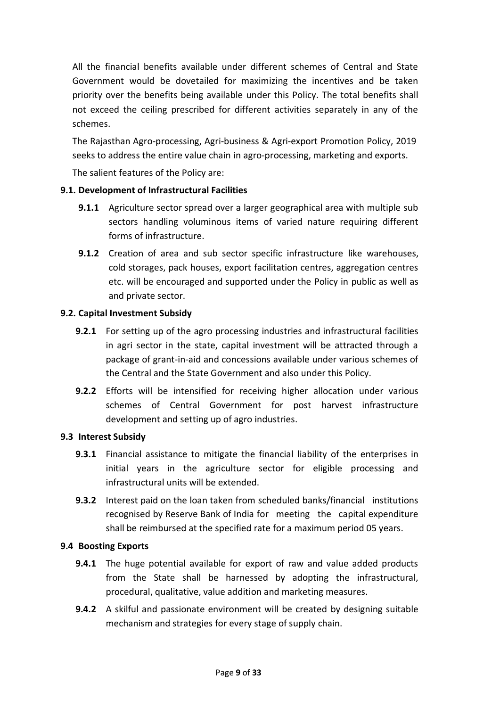All the financial benefits available under different schemes of Central and State Government would be dovetailed for maximizing the incentives and be taken priority over the benefits being available under this Policy. The total benefits shall not exceed the ceiling prescribed for different activities separately in any of the schemes.

The Rajasthan Agro-processing, Agri-business & Agri-export Promotion Policy, 2019 seeks to address the entire value chain in agro-processing, marketing and exports.

The salient features of the Policy are:

# **9.1. Development of Infrastructural Facilities**

- **9.1.1** Agriculture sector spread over a larger geographical area with multiple sub sectors handling voluminous items of varied nature requiring different forms of infrastructure.
- **9.1.2** Creation of area and sub sector specific infrastructure like warehouses, cold storages, pack houses, export facilitation centres, aggregation centres etc. will be encouraged and supported under the Policy in public as well as and private sector.

# **9.2. Capital Investment Subsidy**

- **9.2.1** For setting up of the agro processing industries and infrastructural facilities in agri sector in the state, capital investment will be attracted through a package of grant-in-aid and concessions available under various schemes of the Central and the State Government and also under this Policy.
- **9.2.2** Efforts will be intensified for receiving higher allocation under various schemes of Central Government for post harvest infrastructure development and setting up of agro industries.

# **9.3 Interest Subsidy**

- **9.3.1** Financial assistance to mitigate the financial liability of the enterprises in initial years in the agriculture sector for eligible processing and infrastructural units will be extended.
- **9.3.2** Interest paid on the loan taken from scheduled banks/financial institutions recognised by Reserve Bank of India for meeting the capital expenditure shall be reimbursed at the specified rate for a maximum period 05 years.

# **9.4 Boosting Exports**

- **9.4.1** The huge potential available for export of raw and value added products from the State shall be harnessed by adopting the infrastructural, procedural, qualitative, value addition and marketing measures.
- **9.4.2** A skilful and passionate environment will be created by designing suitable mechanism and strategies for every stage of supply chain.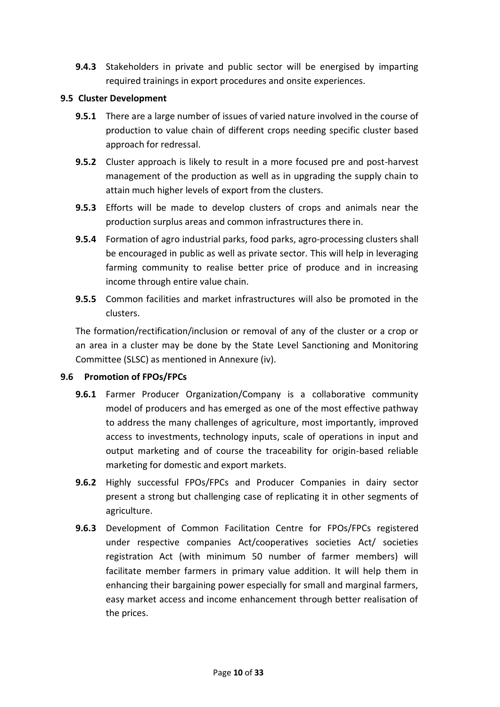**9.4.3** Stakeholders in private and public sector will be energised by imparting required trainings in export procedures and onsite experiences.

### **9.5 Cluster Development**

- **9.5.1** There are a large number of issues of varied nature involved in the course of production to value chain of different crops needing specific cluster based approach for redressal.
- **9.5.2** Cluster approach is likely to result in a more focused pre and post-harvest management of the production as well as in upgrading the supply chain to attain much higher levels of export from the clusters.
- **9.5.3** Efforts will be made to develop clusters of crops and animals near the production surplus areas and common infrastructures there in.
- **9.5.4** Formation of agro industrial parks, food parks, agro-processing clusters shall be encouraged in public as well as private sector. This will help in leveraging farming community to realise better price of produce and in increasing income through entire value chain.
- **9.5.5** Common facilities and market infrastructures will also be promoted in the clusters.

The formation/rectification/inclusion or removal of any of the cluster or a crop or an area in a cluster may be done by the State Level Sanctioning and Monitoring Committee (SLSC) as mentioned in Annexure (iv).

# **9.6 Promotion of FPOs/FPCs**

- **9.6.1** Farmer Producer Organization/Company is a collaborative community model of producers and has emerged as one of the most effective pathway to address the many challenges of agriculture, most importantly, improved access to investments, technology inputs, scale of operations in input and output marketing and of course the traceability for origin-based reliable marketing for domestic and export markets.
- **9.6.2** Highly successful FPOs/FPCs and Producer Companies in dairy sector present a strong but challenging case of replicating it in other segments of agriculture.
- **9.6.3** Development of Common Facilitation Centre for FPOs/FPCs registered under respective companies Act/cooperatives societies Act/ societies registration Act (with minimum 50 number of farmer members) will facilitate member farmers in primary value addition. It will help them in enhancing their bargaining power especially for small and marginal farmers, easy market access and income enhancement through better realisation of the prices.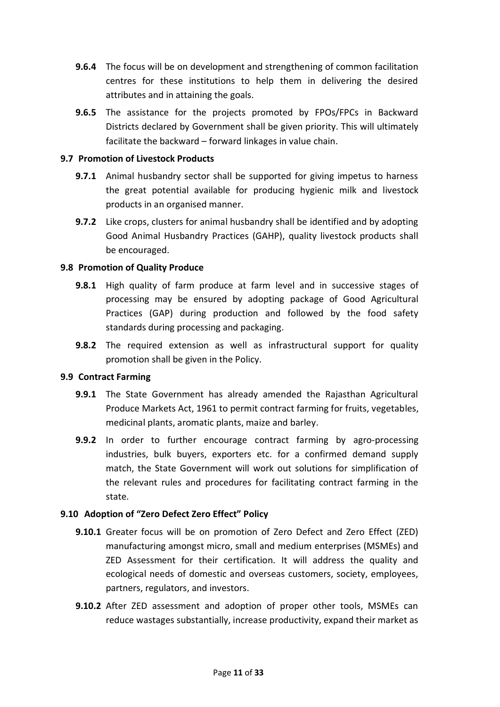- **9.6.4** The focus will be on development and strengthening of common facilitation centres for these institutions to help them in delivering the desired attributes and in attaining the goals.
- **9.6.5** The assistance for the projects promoted by FPOs/FPCs in Backward Districts declared by Government shall be given priority. This will ultimately facilitate the backward – forward linkages in value chain.

#### **9.7 Promotion of Livestock Products**

- **9.7.1** Animal husbandry sector shall be supported for giving impetus to harness the great potential available for producing hygienic milk and livestock products in an organised manner.
- **9.7.2** Like crops, clusters for animal husbandry shall be identified and by adopting Good Animal Husbandry Practices (GAHP), quality livestock products shall be encouraged.

### **9.8 Promotion of Quality Produce**

- **9.8.1** High quality of farm produce at farm level and in successive stages of processing may be ensured by adopting package of Good Agricultural Practices (GAP) during production and followed by the food safety standards during processing and packaging.
- **9.8.2** The required extension as well as infrastructural support for quality promotion shall be given in the Policy.

#### **9.9 Contract Farming**

- **9.9.1** The State Government has already amended the Rajasthan Agricultural Produce Markets Act, 1961 to permit contract farming for fruits, vegetables, medicinal plants, aromatic plants, maize and barley.
- **9.9.2** In order to further encourage contract farming by agro-processing industries, bulk buyers, exporters etc. for a confirmed demand supply match, the State Government will work out solutions for simplification of the relevant rules and procedures for facilitating contract farming in the state.

#### **9.10 Adoption of "Zero Defect Zero Effect" Policy**

- **9.10.1** Greater focus will be on promotion of Zero Defect and Zero Effect (ZED) manufacturing amongst micro, small and medium enterprises (MSMEs) and ZED Assessment for their certification. It will address the quality and ecological needs of domestic and overseas customers, society, employees, partners, regulators, and investors.
- **9.10.2** After ZED assessment and adoption of proper other tools, MSMEs can reduce wastages substantially, increase productivity, expand their market as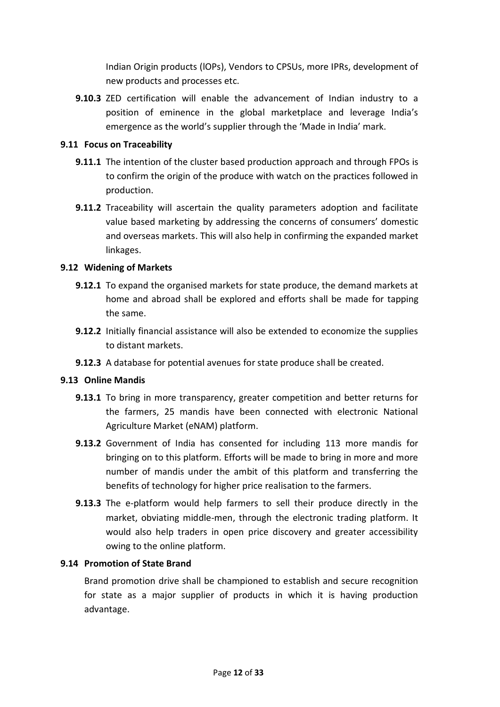Indian Origin products (lOPs), Vendors to CPSUs, more IPRs, development of new products and processes etc.

**9.10.3** ZED certification will enable the advancement of Indian industry to a position of eminence in the global marketplace and leverage India's emergence as the world's supplier through the 'Made in India' mark.

#### **9.11 Focus on Traceability**

- **9.11.1** The intention of the cluster based production approach and through FPOs is to confirm the origin of the produce with watch on the practices followed in production.
- **9.11.2** Traceability will ascertain the quality parameters adoption and facilitate value based marketing by addressing the concerns of consumers' domestic and overseas markets. This will also help in confirming the expanded market linkages.

### **9.12 Widening of Markets**

- **9.12.1** To expand the organised markets for state produce, the demand markets at home and abroad shall be explored and efforts shall be made for tapping the same.
- **9.12.2** Initially financial assistance will also be extended to economize the supplies to distant markets.
- **9.12.3** A database for potential avenues for state produce shall be created.

# **9.13 Online Mandis**

- **9.13.1** To bring in more transparency, greater competition and better returns for the farmers, 25 mandis have been connected with electronic National Agriculture Market (eNAM) platform.
- **9.13.2** Government of India has consented for including 113 more mandis for bringing on to this platform. Efforts will be made to bring in more and more number of mandis under the ambit of this platform and transferring the benefits of technology for higher price realisation to the farmers.
- **9.13.3** The e-platform would help farmers to sell their produce directly in the market, obviating middle-men, through the electronic trading platform. It would also help traders in open price discovery and greater accessibility owing to the online platform.

#### **9.14 Promotion of State Brand**

Brand promotion drive shall be championed to establish and secure recognition for state as a major supplier of products in which it is having production advantage.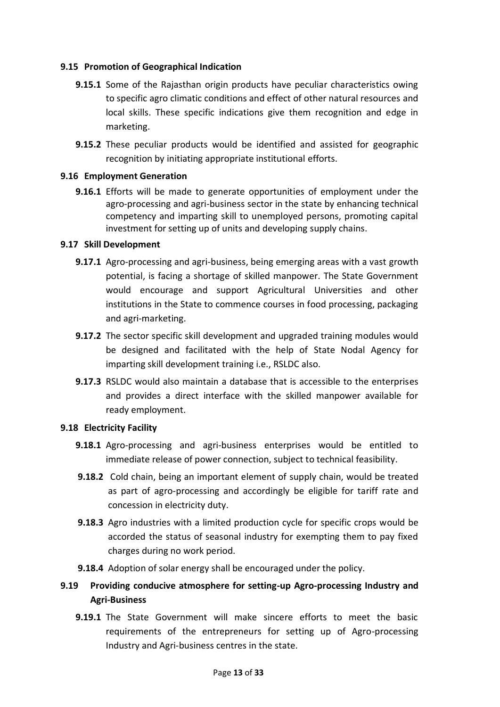### **9.15 Promotion of Geographical Indication**

- **9.15.1** Some of the Rajasthan origin products have peculiar characteristics owing to specific agro climatic conditions and effect of other natural resources and local skills. These specific indications give them recognition and edge in marketing.
- **9.15.2** These peculiar products would be identified and assisted for geographic recognition by initiating appropriate institutional efforts.

### **9.16 Employment Generation**

**9.16.1** Efforts will be made to generate opportunities of employment under the agro-processing and agri-business sector in the state by enhancing technical competency and imparting skill to unemployed persons, promoting capital investment for setting up of units and developing supply chains.

### **9.17 Skill Development**

- **9.17.1** Agro-processing and agri-business, being emerging areas with a vast growth potential, is facing a shortage of skilled manpower. The State Government would encourage and support Agricultural Universities and other institutions in the State to commence courses in food processing, packaging and agri-marketing.
- **9.17.2** The sector specific skill development and upgraded training modules would be designed and facilitated with the help of State Nodal Agency for imparting skill development training i.e., RSLDC also.
- **9.17.3** RSLDC would also maintain a database that is accessible to the enterprises and provides a direct interface with the skilled manpower available for ready employment.

# **9.18 Electricity Facility**

- **9.18.1** Agro-processing and agri-business enterprises would be entitled to immediate release of power connection, subject to technical feasibility.
- **9.18.2** Cold chain, being an important element of supply chain, would be treated as part of agro-processing and accordingly be eligible for tariff rate and concession in electricity duty.
- **9.18.3** Agro industries with a limited production cycle for specific crops would be accorded the status of seasonal industry for exempting them to pay fixed charges during no work period.
- **9.18.4** Adoption of solar energy shall be encouraged under the policy.
- **9.19 Providing conducive atmosphere for setting-up Agro-processing Industry and Agri-Business**
	- **9.19.1** The State Government will make sincere efforts to meet the basic requirements of the entrepreneurs for setting up of Agro-processing Industry and Agri-business centres in the state.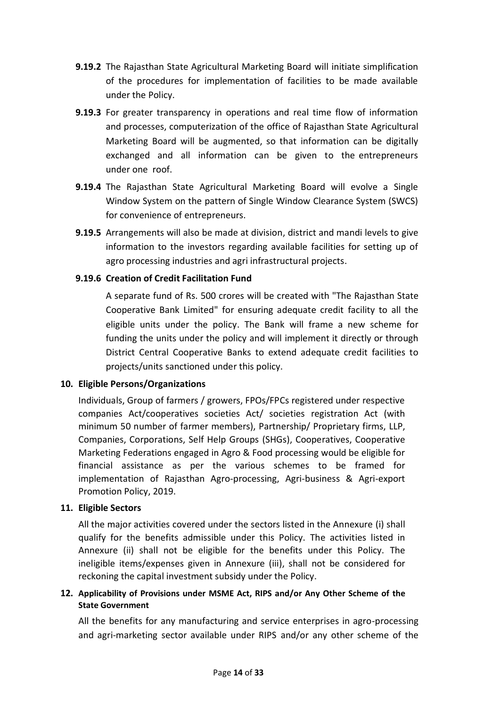- **9.19.2** The Rajasthan State Agricultural Marketing Board will initiate simplification of the procedures for implementation of facilities to be made available under the Policy.
- **9.19.3** For greater transparency in operations and real time flow of information and processes, computerization of the office of Rajasthan State Agricultural Marketing Board will be augmented, so that information can be digitally exchanged and all information can be given to the entrepreneurs under one roof.
- **9.19.4** The Rajasthan State Agricultural Marketing Board will evolve a Single Window System on the pattern of Single Window Clearance System (SWCS) for convenience of entrepreneurs.
- **9.19.5** Arrangements will also be made at division, district and mandi levels to give information to the investors regarding available facilities for setting up of agro processing industries and agri infrastructural projects.

# **9.19.6 Creation of Credit Facilitation Fund**

A separate fund of Rs. 500 crores will be created with "The Rajasthan State Cooperative Bank Limited" for ensuring adequate credit facility to all the eligible units under the policy. The Bank will frame a new scheme for funding the units under the policy and will implement it directly or through District Central Cooperative Banks to extend adequate credit facilities to projects/units sanctioned under this policy.

# **10. Eligible Persons/Organizations**

Individuals, Group of farmers / growers, FPOs/FPCs registered under respective companies Act/cooperatives societies Act/ societies registration Act (with minimum 50 number of farmer members), Partnership/ Proprietary firms, LLP, Companies, Corporations, Self Help Groups (SHGs), Cooperatives, Cooperative Marketing Federations engaged in Agro & Food processing would be eligible for financial assistance as per the various schemes to be framed for implementation of Rajasthan Agro-processing, Agri-business & Agri-export Promotion Policy, 2019.

# **11. Eligible Sectors**

All the major activities covered under the sectors listed in the Annexure (i) shall qualify for the benefits admissible under this Policy. The activities listed in Annexure (ii) shall not be eligible for the benefits under this Policy. The ineligible items/expenses given in Annexure (iii), shall not be considered for reckoning the capital investment subsidy under the Policy.

# **12. Applicability of Provisions under MSME Act, RIPS and/or Any Other Scheme of the State Government**

All the benefits for any manufacturing and service enterprises in agro-processing and agri-marketing sector available under RIPS and/or any other scheme of the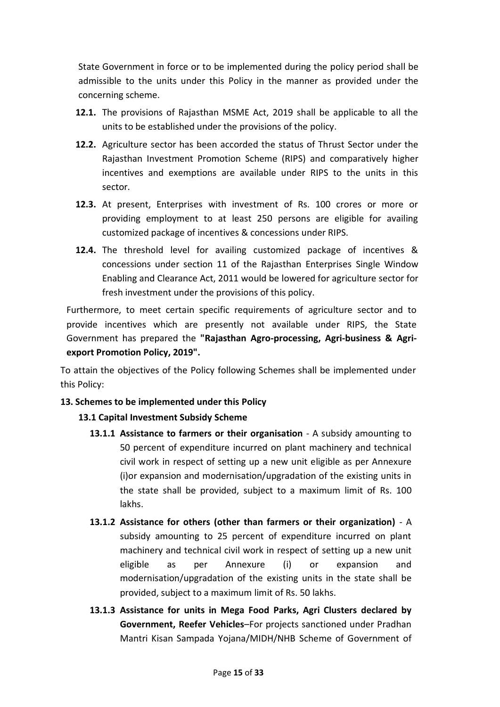State Government in force or to be implemented during the policy period shall be admissible to the units under this Policy in the manner as provided under the concerning scheme.

- **12.1.** The provisions of Rajasthan MSME Act, 2019 shall be applicable to all the units to be established under the provisions of the policy.
- **12.2.** Agriculture sector has been accorded the status of Thrust Sector under the Rajasthan Investment Promotion Scheme (RIPS) and comparatively higher incentives and exemptions are available under RIPS to the units in this sector.
- **12.3.** At present, Enterprises with investment of Rs. 100 crores or more or providing employment to at least 250 persons are eligible for availing customized package of incentives & concessions under RIPS.
- **12.4.** The threshold level for availing customized package of incentives & concessions under section 11 of the Rajasthan Enterprises Single Window Enabling and Clearance Act, 2011 would be lowered for agriculture sector for fresh investment under the provisions of this policy.

Furthermore, to meet certain specific requirements of agriculture sector and to provide incentives which are presently not available under RIPS, the State Government has prepared the **"Rajasthan Agro-processing, Agri-business & Agriexport Promotion Policy, 2019".**

To attain the objectives of the Policy following Schemes shall be implemented under this Policy:

# **13. Schemes to be implemented under this Policy**

# **13.1 Capital Investment Subsidy Scheme**

- **13.1.1 Assistance to farmers or their organisation** A subsidy amounting to 50 percent of expenditure incurred on plant machinery and technical civil work in respect of setting up a new unit eligible as per Annexure (i)or expansion and modernisation/upgradation of the existing units in the state shall be provided, subject to a maximum limit of Rs. 100 lakhs.
- **13.1.2 Assistance for others (other than farmers or their organization)** A subsidy amounting to 25 percent of expenditure incurred on plant machinery and technical civil work in respect of setting up a new unit eligible as per Annexure (i) or expansion and modernisation/upgradation of the existing units in the state shall be provided, subject to a maximum limit of Rs. 50 lakhs.
- **13.1.3 Assistance for units in Mega Food Parks, Agri Clusters declared by Government, Reefer Vehicles**–For projects sanctioned under Pradhan Mantri Kisan Sampada Yojana/MIDH/NHB Scheme of Government of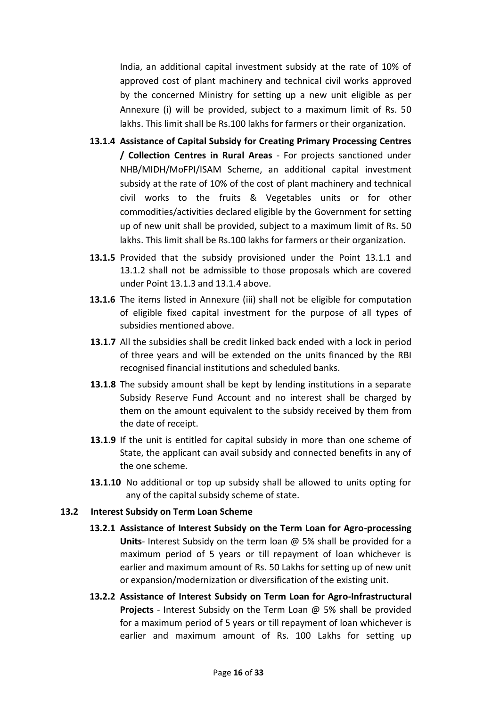India, an additional capital investment subsidy at the rate of 10% of approved cost of plant machinery and technical civil works approved by the concerned Ministry for setting up a new unit eligible as per Annexure (i) will be provided, subject to a maximum limit of Rs. 50 lakhs. This limit shall be Rs.100 lakhs for farmers or their organization.

- **13.1.4 Assistance of Capital Subsidy for Creating Primary Processing Centres / Collection Centres in Rural Areas** - For projects sanctioned under NHB/MIDH/MoFPI/ISAM Scheme, an additional capital investment subsidy at the rate of 10% of the cost of plant machinery and technical civil works to the fruits & Vegetables units or for other commodities/activities declared eligible by the Government for setting up of new unit shall be provided, subject to a maximum limit of Rs. 50 lakhs. This limit shall be Rs.100 lakhs for farmers or their organization.
- **13.1.5** Provided that the subsidy provisioned under the Point 13.1.1 and 13.1.2 shall not be admissible to those proposals which are covered under Point 13.1.3 and 13.1.4 above.
- **13.1.6** The items listed in Annexure (iii) shall not be eligible for computation of eligible fixed capital investment for the purpose of all types of subsidies mentioned above.
- **13.1.7** All the subsidies shall be credit linked back ended with a lock in period of three years and will be extended on the units financed by the RBI recognised financial institutions and scheduled banks.
- **13.1.8** The subsidy amount shall be kept by lending institutions in a separate Subsidy Reserve Fund Account and no interest shall be charged by them on the amount equivalent to the subsidy received by them from the date of receipt.
- **13.1.9** If the unit is entitled for capital subsidy in more than one scheme of State, the applicant can avail subsidy and connected benefits in any of the one scheme.
- **13.1.10** No additional or top up subsidy shall be allowed to units opting for any of the capital subsidy scheme of state.

#### **13.2 Interest Subsidy on Term Loan Scheme**

- **13.2.1 Assistance of Interest Subsidy on the Term Loan for Agro-processing Units**- Interest Subsidy on the term loan @ 5% shall be provided for a maximum period of 5 years or till repayment of loan whichever is earlier and maximum amount of Rs. 50 Lakhs for setting up of new unit or expansion/modernization or diversification of the existing unit.
- **13.2.2 Assistance of Interest Subsidy on Term Loan for Agro-Infrastructural Projects** - Interest Subsidy on the Term Loan @ 5% shall be provided for a maximum period of 5 years or till repayment of loan whichever is earlier and maximum amount of Rs. 100 Lakhs for setting up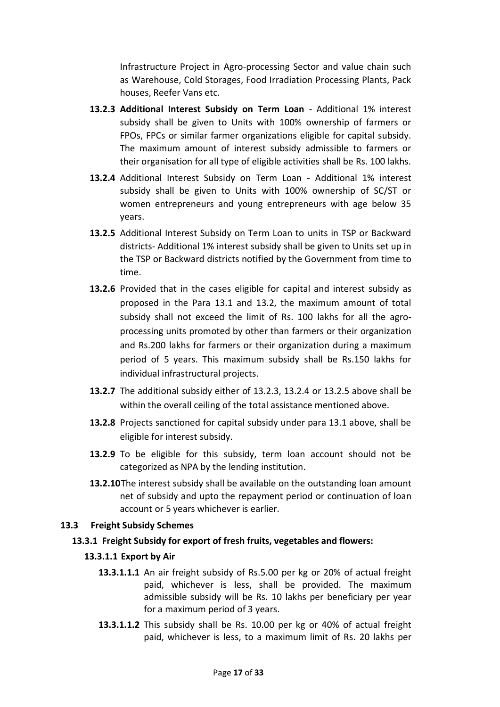Infrastructure Project in Agro-processing Sector and value chain such as Warehouse, Cold Storages, Food Irradiation Processing Plants, Pack houses, Reefer Vans etc.

- **13.2.3 Additional Interest Subsidy on Term Loan** Additional 1% interest subsidy shall be given to Units with 100% ownership of farmers or FPOs, FPCs or similar farmer organizations eligible for capital subsidy. The maximum amount of interest subsidy admissible to farmers or their organisation for all type of eligible activities shall be Rs. 100 lakhs.
- **13.2.4** Additional Interest Subsidy on Term Loan Additional 1% interest subsidy shall be given to Units with 100% ownership of SC/ST or women entrepreneurs and young entrepreneurs with age below 35 years.
- **13.2.5** Additional Interest Subsidy on Term Loan to units in TSP or Backward districts- Additional 1% interest subsidy shall be given to Units set up in the TSP or Backward districts notified by the Government from time to time.
- **13.2.6** Provided that in the cases eligible for capital and interest subsidy as proposed in the Para 13.1 and 13.2, the maximum amount of total subsidy shall not exceed the limit of Rs. 100 lakhs for all the agroprocessing units promoted by other than farmers or their organization and Rs.200 lakhs for farmers or their organization during a maximum period of 5 years. This maximum subsidy shall be Rs.150 lakhs for individual infrastructural projects.
- **13.2.7** The additional subsidy either of 13.2.3, 13.2.4 or 13.2.5 above shall be within the overall ceiling of the total assistance mentioned above.
- **13.2.8** Projects sanctioned for capital subsidy under para 13.1 above, shall be eligible for interest subsidy.
- **13.2.9** To be eligible for this subsidy, term loan account should not be categorized as NPA by the lending institution.
- **13.2.10**The interest subsidy shall be available on the outstanding loan amount net of subsidy and upto the repayment period or continuation of loan account or 5 years whichever is earlier.

#### **13.3 Freight Subsidy Schemes**

# **13.3.1 Freight Subsidy for export of fresh fruits, vegetables and flowers:**

# **13.3.1.1 Export by Air**

- **13.3.1.1.1** An air freight subsidy of Rs.5.00 per kg or 20% of actual freight paid, whichever is less, shall be provided. The maximum admissible subsidy will be Rs. 10 lakhs per beneficiary per year for a maximum period of 3 years.
- **13.3.1.1.2** This subsidy shall be Rs. 10.00 per kg or 40% of actual freight paid, whichever is less, to a maximum limit of Rs. 20 lakhs per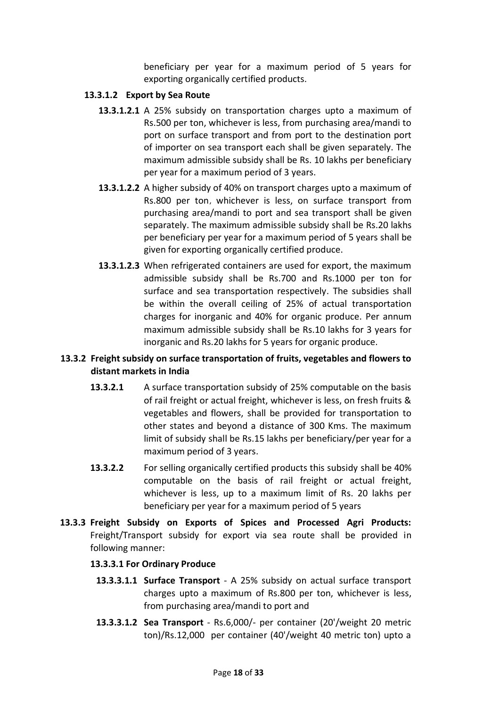beneficiary per year for a maximum period of 5 years for exporting organically certified products.

#### **13.3.1.2 Export by Sea Route**

- **13.3.1.2.1** A 25% subsidy on transportation charges upto a maximum of Rs.500 per ton, whichever is less, from purchasing area/mandi to port on surface transport and from port to the destination port of importer on sea transport each shall be given separately. The maximum admissible subsidy shall be Rs. 10 lakhs per beneficiary per year for a maximum period of 3 years.
- **13.3.1.2.2** A higher subsidy of 40% on transport charges upto a maximum of Rs.800 per ton, whichever is less, on surface transport from purchasing area/mandi to port and sea transport shall be given separately. The maximum admissible subsidy shall be Rs.20 lakhs per beneficiary per year for a maximum period of 5 years shall be given for exporting organically certified produce.
- **13.3.1.2.3** When refrigerated containers are used for export, the maximum admissible subsidy shall be Rs.700 and Rs.1000 per ton for surface and sea transportation respectively. The subsidies shall be within the overall ceiling of 25% of actual transportation charges for inorganic and 40% for organic produce. Per annum maximum admissible subsidy shall be Rs.10 lakhs for 3 years for inorganic and Rs.20 lakhs for 5 years for organic produce.

# **13.3.2 Freight subsidy on surface transportation of fruits, vegetables and flowers to distant markets in India**

- **13.3.2.1** A surface transportation subsidy of 25% computable on the basis of rail freight or actual freight, whichever is less, on fresh fruits & vegetables and flowers, shall be provided for transportation to other states and beyond a distance of 300 Kms. The maximum limit of subsidy shall be Rs.15 lakhs per beneficiary/per year for a maximum period of 3 years.
- **13.3.2.2** For selling organically certified products this subsidy shall be 40% computable on the basis of rail freight or actual freight, whichever is less, up to a maximum limit of Rs. 20 lakhs per beneficiary per year for a maximum period of 5 years
- **13.3.3 Freight Subsidy on Exports of Spices and Processed Agri Products:** Freight/Transport subsidy for export via sea route shall be provided in following manner:

# **13.3.3.1 For Ordinary Produce**

- **13.3.3.1.1 Surface Transport** A 25% subsidy on actual surface transport charges upto a maximum of Rs.800 per ton, whichever is less, from purchasing area/mandi to port and
- **13.3.3.1.2 Sea Transport** Rs.6,000/- per container (20'/weight 20 metric ton)/Rs.12,000 per container (40'/weight 40 metric ton) upto a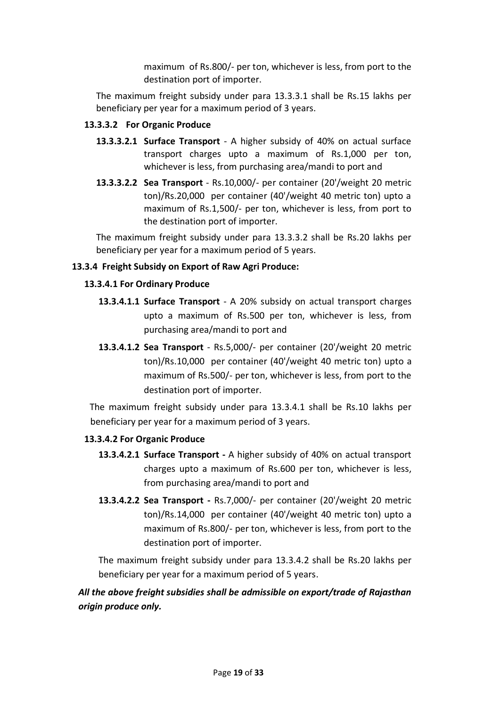maximum of Rs.800/- per ton, whichever is less, from port to the destination port of importer.

The maximum freight subsidy under para 13.3.3.1 shall be Rs.15 lakhs per beneficiary per year for a maximum period of 3 years.

### **13.3.3.2 For Organic Produce**

- **13.3.3.2.1 Surface Transport** A higher subsidy of 40% on actual surface transport charges upto a maximum of Rs.1,000 per ton, whichever is less, from purchasing area/mandi to port and
- **13.3.3.2.2 Sea Transport** Rs.10,000/- per container (20'/weight 20 metric ton)/Rs.20,000 per container (40'/weight 40 metric ton) upto a maximum of Rs.1,500/- per ton, whichever is less, from port to the destination port of importer.

The maximum freight subsidy under para 13.3.3.2 shall be Rs.20 lakhs per beneficiary per year for a maximum period of 5 years.

### **13.3.4 Freight Subsidy on Export of Raw Agri Produce:**

### **13.3.4.1 For Ordinary Produce**

- **13.3.4.1.1 Surface Transport** A 20% subsidy on actual transport charges upto a maximum of Rs.500 per ton, whichever is less, from purchasing area/mandi to port and
- **13.3.4.1.2 Sea Transport** Rs.5,000/- per container (20'/weight 20 metric ton)/Rs.10,000 per container (40'/weight 40 metric ton) upto a maximum of Rs.500/- per ton, whichever is less, from port to the destination port of importer.

The maximum freight subsidy under para 13.3.4.1 shall be Rs.10 lakhs per beneficiary per year for a maximum period of 3 years.

#### **13.3.4.2 For Organic Produce**

- **13.3.4.2.1 Surface Transport -** A higher subsidy of 40% on actual transport charges upto a maximum of Rs.600 per ton, whichever is less, from purchasing area/mandi to port and
- **13.3.4.2.2 Sea Transport -** Rs.7,000/- per container (20'/weight 20 metric ton)/Rs.14,000 per container (40'/weight 40 metric ton) upto a maximum of Rs.800/- per ton, whichever is less, from port to the destination port of importer.

The maximum freight subsidy under para 13.3.4.2 shall be Rs.20 lakhs per beneficiary per year for a maximum period of 5 years.

# *All the above freight subsidies shall be admissible on export/trade of Rajasthan origin produce only.*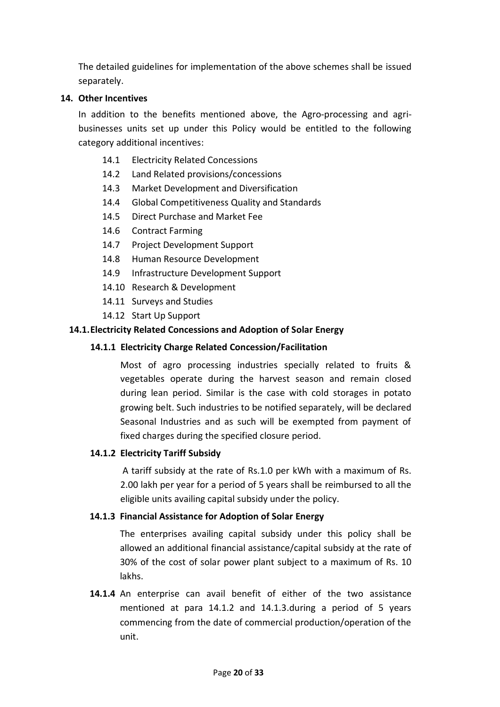The detailed guidelines for implementation of the above schemes shall be issued separately.

### **14. Other Incentives**

In addition to the benefits mentioned above, the Agro-processing and agribusinesses units set up under this Policy would be entitled to the following category additional incentives:

- 14.1 Electricity Related Concessions
- 14.2 Land Related provisions/concessions
- 14.3 Market Development and Diversification
- 14.4 Global Competitiveness Quality and Standards
- 14.5 Direct Purchase and Market Fee
- 14.6 Contract Farming
- 14.7 Project Development Support
- 14.8 Human Resource Development
- 14.9 Infrastructure Development Support
- 14.10 Research & Development
- 14.11 Surveys and Studies
- 14.12 Start Up Support

#### **14.1.Electricity Related Concessions and Adoption of Solar Energy**

#### **14.1.1 Electricity Charge Related Concession/Facilitation**

Most of agro processing industries specially related to fruits & vegetables operate during the harvest season and remain closed during lean period. Similar is the case with cold storages in potato growing belt. Such industries to be notified separately, will be declared Seasonal Industries and as such will be exempted from payment of fixed charges during the specified closure period.

#### **14.1.2 Electricity Tariff Subsidy**

A tariff subsidy at the rate of Rs.1.0 per kWh with a maximum of Rs. 2.00 lakh per year for a period of 5 years shall be reimbursed to all the eligible units availing capital subsidy under the policy.

#### **14.1.3 Financial Assistance for Adoption of Solar Energy**

The enterprises availing capital subsidy under this policy shall be allowed an additional financial assistance/capital subsidy at the rate of 30% of the cost of solar power plant subject to a maximum of Rs. 10 lakhs.

**14.1.4** An enterprise can avail benefit of either of the two assistance mentioned at para 14.1.2 and 14.1.3.during a period of 5 years commencing from the date of commercial production/operation of the unit.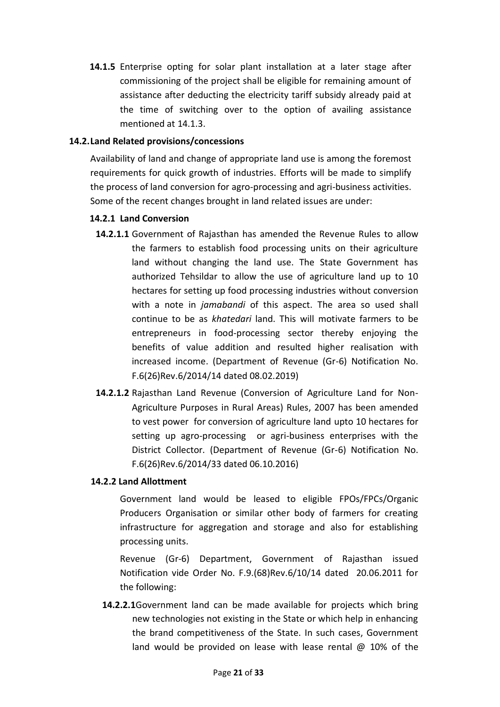**14.1.5** Enterprise opting for solar plant installation at a later stage after commissioning of the project shall be eligible for remaining amount of assistance after deducting the electricity tariff subsidy already paid at the time of switching over to the option of availing assistance mentioned at 14.1.3.

### **14.2.Land Related provisions/concessions**

Availability of land and change of appropriate land use is among the foremost requirements for quick growth of industries. Efforts will be made to simplify the process of land conversion for agro-processing and agri-business activities. Some of the recent changes brought in land related issues are under:

### **14.2.1 Land Conversion**

- **14.2.1.1** Government of Rajasthan has amended the Revenue Rules to allow the farmers to establish food processing units on their agriculture land without changing the land use. The State Government has authorized Tehsildar to allow the use of agriculture land up to 10 hectares for setting up food processing industries without conversion with a note in *jamabandi* of this aspect. The area so used shall continue to be as *khatedari* land. This will motivate farmers to be entrepreneurs in food-processing sector thereby enjoying the benefits of value addition and resulted higher realisation with increased income. (Department of Revenue (Gr-6) Notification No. F.6(26)Rev.6/2014/14 dated 08.02.2019)
- **14.2.1.2** Rajasthan Land Revenue (Conversion of Agriculture Land for Non-Agriculture Purposes in Rural Areas) Rules, 2007 has been amended to vest power for conversion of agriculture land upto 10 hectares for setting up agro-processing or agri-business enterprises with the District Collector. (Department of Revenue (Gr-6) Notification No. F.6(26)Rev.6/2014/33 dated 06.10.2016)

# **14.2.2 Land Allottment**

Government land would be leased to eligible FPOs/FPCs/Organic Producers Organisation or similar other body of farmers for creating infrastructure for aggregation and storage and also for establishing processing units.

Revenue (Gr-6) Department, Government of Rajasthan issued Notification vide Order No. F.9.(68)Rev.6/10/14 dated 20.06.2011 for the following:

**14.2.2.1**Government land can be made available for projects which bring new technologies not existing in the State or which help in enhancing the brand competitiveness of the State. In such cases, Government land would be provided on lease with lease rental @ 10% of the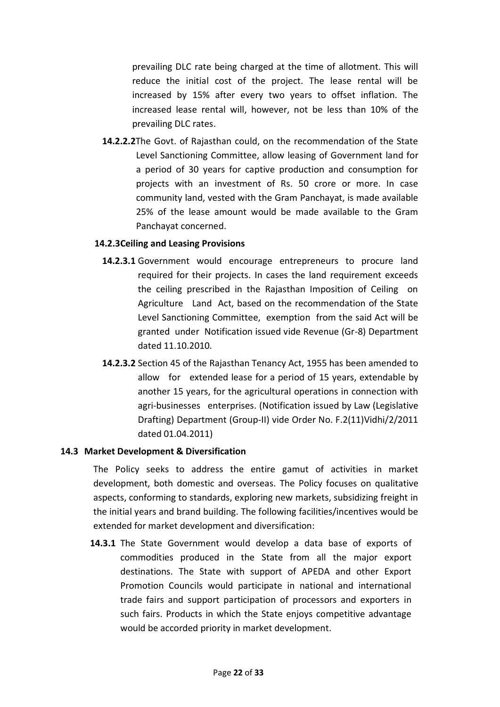prevailing DLC rate being charged at the time of allotment. This will reduce the initial cost of the project. The lease rental will be increased by 15% after every two years to offset inflation. The increased lease rental will, however, not be less than 10% of the prevailing DLC rates.

**14.2.2.2**The Govt. of Rajasthan could, on the recommendation of the State Level Sanctioning Committee, allow leasing of Government land for a period of 30 years for captive production and consumption for projects with an investment of Rs. 50 crore or more. In case community land, vested with the Gram Panchayat, is made available 25% of the lease amount would be made available to the Gram Panchayat concerned.

#### **14.2.3Ceiling and Leasing Provisions**

- **14.2.3.1** Government would encourage entrepreneurs to procure land required for their projects. In cases the land requirement exceeds the ceiling prescribed in the Rajasthan Imposition of Ceiling on Agriculture Land Act, based on the recommendation of the State Level Sanctioning Committee, exemption from the said Act will be granted under Notification issued vide Revenue (Gr-8) Department dated 11.10.2010.
- **14.2.3.2** Section 45 of the Rajasthan Tenancy Act, 1955 has been amended to allow for extended lease for a period of 15 years, extendable by another 15 years, for the agricultural operations in connection with agri-businesses enterprises. (Notification issued by Law (Legislative Drafting) Department (Group-II) vide Order No. F.2(11)Vidhi/2/2011 dated 01.04.2011)

#### **14.3 Market Development & Diversification**

The Policy seeks to address the entire gamut of activities in market development, both domestic and overseas. The Policy focuses on qualitative aspects, conforming to standards, exploring new markets, subsidizing freight in the initial years and brand building. The following facilities/incentives would be extended for market development and diversification:

**14.3.1** The State Government would develop a data base of exports of commodities produced in the State from all the major export destinations. The State with support of APEDA and other Export Promotion Councils would participate in national and international trade fairs and support participation of processors and exporters in such fairs. Products in which the State enjoys competitive advantage would be accorded priority in market development.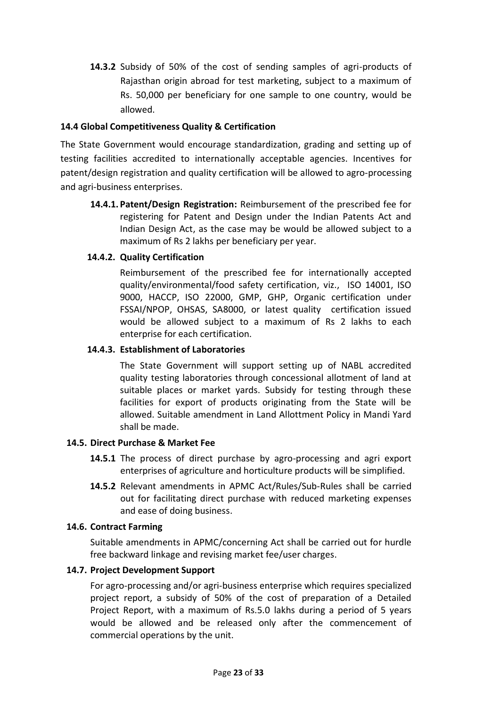**14.3.2** Subsidy of 50% of the cost of sending samples of agri-products of Rajasthan origin abroad for test marketing, subject to a maximum of Rs. 50,000 per beneficiary for one sample to one country, would be allowed.

# **14.4 Global Competitiveness Quality & Certification**

The State Government would encourage standardization, grading and setting up of testing facilities accredited to internationally acceptable agencies. Incentives for patent/design registration and quality certification will be allowed to agro-processing and agri-business enterprises.

**14.4.1. Patent/Design Registration:** Reimbursement of the prescribed fee for registering for Patent and Design under the Indian Patents Act and Indian Design Act, as the case may be would be allowed subject to a maximum of Rs 2 lakhs per beneficiary per year.

### **14.4.2. Quality Certification**

Reimbursement of the prescribed fee for internationally accepted quality/environmental/food safety certification, viz., ISO 14001, ISO 9000, HACCP, ISO 22000, GMP, GHP, Organic certification under FSSAI/NPOP, OHSAS, SA8000, or latest quality certification issued would be allowed subject to a maximum of Rs 2 lakhs to each enterprise for each certification.

#### **14.4.3. Establishment of Laboratories**

The State Government will support setting up of NABL accredited quality testing laboratories through concessional allotment of land at suitable places or market yards. Subsidy for testing through these facilities for export of products originating from the State will be allowed. Suitable amendment in Land Allottment Policy in Mandi Yard shall be made.

#### **14.5. Direct Purchase & Market Fee**

- **14.5.1** The process of direct purchase by agro-processing and agri export enterprises of agriculture and horticulture products will be simplified.
- **14.5.2** Relevant amendments in APMC Act/Rules/Sub-Rules shall be carried out for facilitating direct purchase with reduced marketing expenses and ease of doing business.

#### **14.6. Contract Farming**

Suitable amendments in APMC/concerning Act shall be carried out for hurdle free backward linkage and revising market fee/user charges.

#### **14.7. Project Development Support**

For agro-processing and/or agri-business enterprise which requires specialized project report, a subsidy of 50% of the cost of preparation of a Detailed Project Report, with a maximum of Rs.5.0 lakhs during a period of 5 years would be allowed and be released only after the commencement of commercial operations by the unit.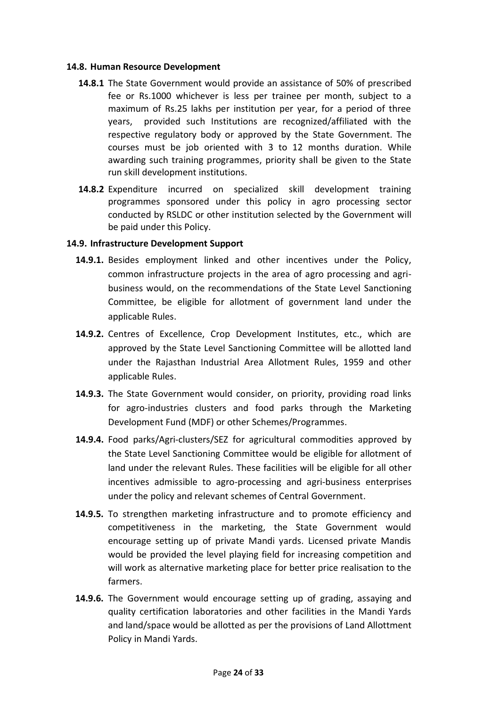#### **14.8. Human Resource Development**

- **14.8.1** The State Government would provide an assistance of 50% of prescribed fee or Rs.1000 whichever is less per trainee per month, subject to a maximum of Rs.25 lakhs per institution per year, for a period of three years, provided such Institutions are recognized/affiliated with the respective regulatory body or approved by the State Government. The courses must be job oriented with 3 to 12 months duration. While awarding such training programmes, priority shall be given to the State run skill development institutions.
- **14.8.2** Expenditure incurred on specialized skill development training programmes sponsored under this policy in agro processing sector conducted by RSLDC or other institution selected by the Government will be paid under this Policy.

#### **14.9. Infrastructure Development Support**

- **14.9.1.** Besides employment linked and other incentives under the Policy, common infrastructure projects in the area of agro processing and agribusiness would, on the recommendations of the State Level Sanctioning Committee, be eligible for allotment of government land under the applicable Rules.
- **14.9.2.** Centres of Excellence, Crop Development Institutes, etc., which are approved by the State Level Sanctioning Committee will be allotted land under the Rajasthan Industrial Area Allotment Rules, 1959 and other applicable Rules.
- **14.9.3.** The State Government would consider, on priority, providing road links for agro-industries clusters and food parks through the Marketing Development Fund (MDF) or other Schemes/Programmes.
- **14.9.4.** Food parks/Agri-clusters/SEZ for agricultural commodities approved by the State Level Sanctioning Committee would be eligible for allotment of land under the relevant Rules. These facilities will be eligible for all other incentives admissible to agro-processing and agri-business enterprises under the policy and relevant schemes of Central Government.
- **14.9.5.** To strengthen marketing infrastructure and to promote efficiency and competitiveness in the marketing, the State Government would encourage setting up of private Mandi yards. Licensed private Mandis would be provided the level playing field for increasing competition and will work as alternative marketing place for better price realisation to the farmers.
- **14.9.6.** The Government would encourage setting up of grading, assaying and quality certification laboratories and other facilities in the Mandi Yards and land/space would be allotted as per the provisions of Land Allottment Policy in Mandi Yards.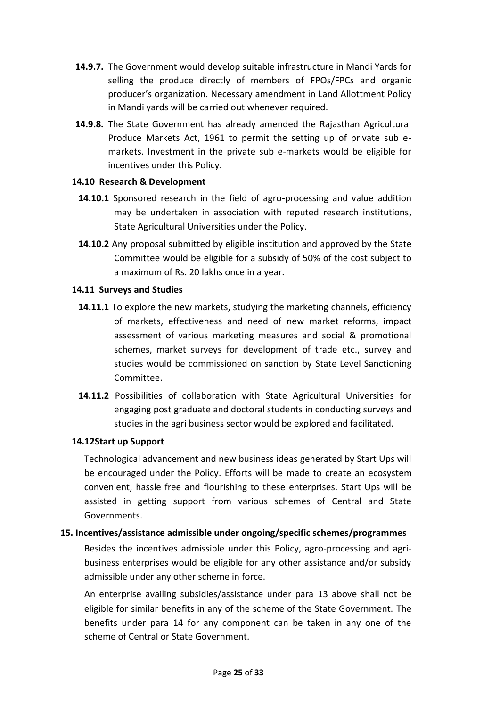- **14.9.7.** The Government would develop suitable infrastructure in Mandi Yards for selling the produce directly of members of FPOs/FPCs and organic producer's organization. Necessary amendment in Land Allottment Policy in Mandi yards will be carried out whenever required.
- **14.9.8.** The State Government has already amended the Rajasthan Agricultural Produce Markets Act, 1961 to permit the setting up of private sub emarkets. Investment in the private sub e-markets would be eligible for incentives under this Policy.

### **14.10 Research & Development**

- **14.10.1** Sponsored research in the field of agro-processing and value addition may be undertaken in association with reputed research institutions, State Agricultural Universities under the Policy.
- **14.10.2** Any proposal submitted by eligible institution and approved by the State Committee would be eligible for a subsidy of 50% of the cost subject to a maximum of Rs. 20 lakhs once in a year.

# **14.11 Surveys and Studies**

- 14.11.1 To explore the new markets, studying the marketing channels, efficiency of markets, effectiveness and need of new market reforms, impact assessment of various marketing measures and social & promotional schemes, market surveys for development of trade etc., survey and studies would be commissioned on sanction by State Level Sanctioning Committee.
- **14.11.2** Possibilities of collaboration with State Agricultural Universities for engaging post graduate and doctoral students in conducting surveys and studies in the agri business sector would be explored and facilitated.

# **14.12Start up Support**

Technological advancement and new business ideas generated by Start Ups will be encouraged under the Policy. Efforts will be made to create an ecosystem convenient, hassle free and flourishing to these enterprises. Start Ups will be assisted in getting support from various schemes of Central and State Governments.

#### **15. Incentives/assistance admissible under ongoing/specific schemes/programmes**

Besides the incentives admissible under this Policy, agro-processing and agribusiness enterprises would be eligible for any other assistance and/or subsidy admissible under any other scheme in force.

An enterprise availing subsidies/assistance under para 13 above shall not be eligible for similar benefits in any of the scheme of the State Government. The benefits under para 14 for any component can be taken in any one of the scheme of Central or State Government.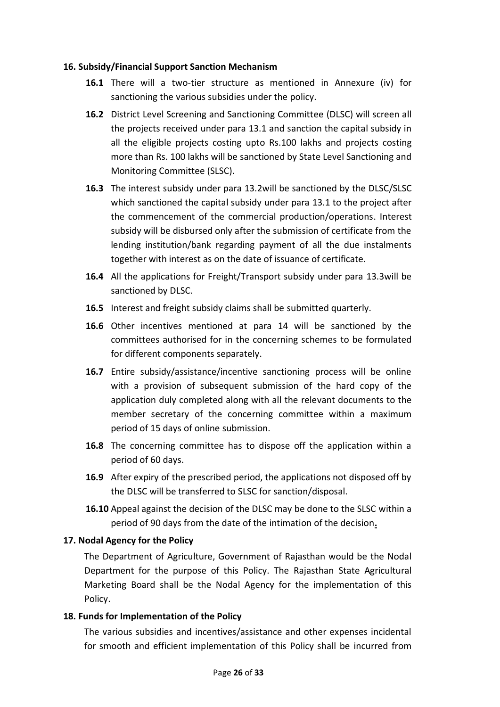### **16. Subsidy/Financial Support Sanction Mechanism**

- **16.1** There will a two-tier structure as mentioned in Annexure (iv) for sanctioning the various subsidies under the policy.
- **16.2** District Level Screening and Sanctioning Committee (DLSC) will screen all the projects received under para 13.1 and sanction the capital subsidy in all the eligible projects costing upto Rs.100 lakhs and projects costing more than Rs. 100 lakhs will be sanctioned by State Level Sanctioning and Monitoring Committee (SLSC).
- **16.3** The interest subsidy under para 13.2will be sanctioned by the DLSC/SLSC which sanctioned the capital subsidy under para 13.1 to the project after the commencement of the commercial production/operations. Interest subsidy will be disbursed only after the submission of certificate from the lending institution/bank regarding payment of all the due instalments together with interest as on the date of issuance of certificate.
- **16.4** All the applications for Freight/Transport subsidy under para 13.3will be sanctioned by DLSC.
- **16.5** Interest and freight subsidy claims shall be submitted quarterly.
- **16.6** Other incentives mentioned at para 14 will be sanctioned by the committees authorised for in the concerning schemes to be formulated for different components separately.
- **16.7** Entire subsidy/assistance/incentive sanctioning process will be online with a provision of subsequent submission of the hard copy of the application duly completed along with all the relevant documents to the member secretary of the concerning committee within a maximum period of 15 days of online submission.
- **16.8** The concerning committee has to dispose off the application within a period of 60 days.
- **16.9** After expiry of the prescribed period, the applications not disposed off by the DLSC will be transferred to SLSC for sanction/disposal.
- **16.10** Appeal against the decision of the DLSC may be done to the SLSC within a period of 90 days from the date of the intimation of the decision**.**

# **17. Nodal Agency for the Policy**

The Department of Agriculture, Government of Rajasthan would be the Nodal Department for the purpose of this Policy. The Rajasthan State Agricultural Marketing Board shall be the Nodal Agency for the implementation of this Policy.

# **18. Funds for Implementation of the Policy**

The various subsidies and incentives/assistance and other expenses incidental for smooth and efficient implementation of this Policy shall be incurred from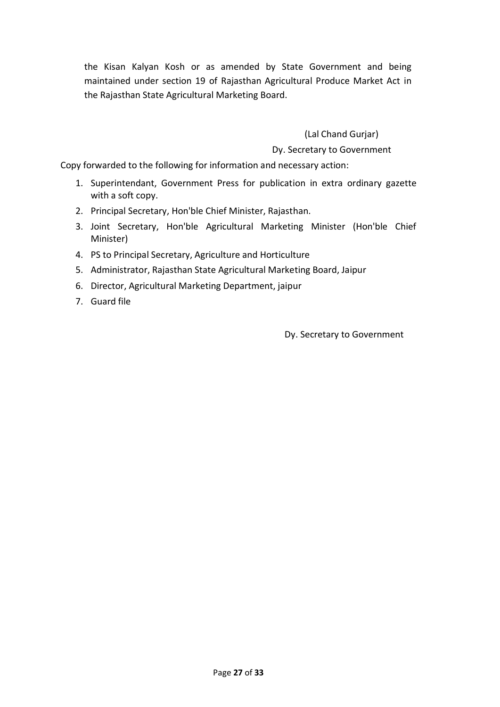the Kisan Kalyan Kosh or as amended by State Government and being maintained under section 19 of Rajasthan Agricultural Produce Market Act in the Rajasthan State Agricultural Marketing Board.

(Lal Chand Gurjar)

Dy. Secretary to Government

Copy forwarded to the following for information and necessary action:

- 1. Superintendant, Government Press for publication in extra ordinary gazette with a soft copy.
- 2. Principal Secretary, Hon'ble Chief Minister, Rajasthan.
- 3. Joint Secretary, Hon'ble Agricultural Marketing Minister (Hon'ble Chief Minister)
- 4. PS to Principal Secretary, Agriculture and Horticulture
- 5. Administrator, Rajasthan State Agricultural Marketing Board, Jaipur
- 6. Director, Agricultural Marketing Department, jaipur
- 7. Guard file

Dy. Secretary to Government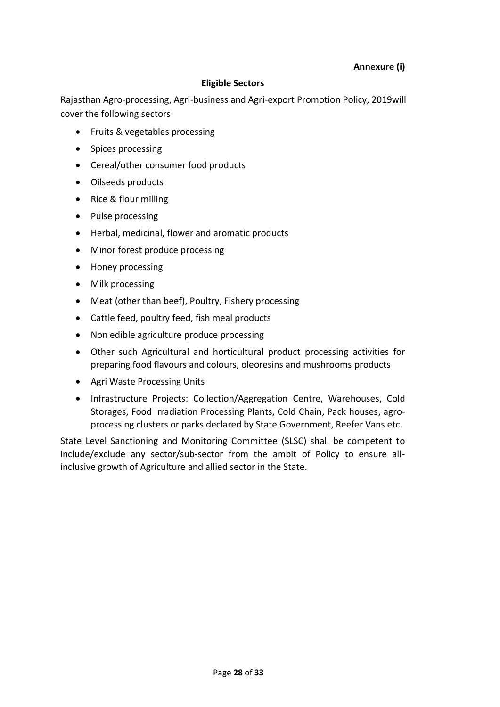# **Eligible Sectors**

Rajasthan Agro-processing, Agri-business and Agri-export Promotion Policy, 2019will cover the following sectors:

- Fruits & vegetables processing
- Spices processing
- Cereal/other consumer food products
- Oilseeds products
- Rice & flour milling
- Pulse processing
- Herbal, medicinal, flower and aromatic products
- Minor forest produce processing
- Honey processing
- Milk processing
- Meat (other than beef), Poultry, Fishery processing
- Cattle feed, poultry feed, fish meal products
- Non edible agriculture produce processing
- Other such Agricultural and horticultural product processing activities for preparing food flavours and colours, oleoresins and mushrooms products
- Agri Waste Processing Units
- Infrastructure Projects: Collection/Aggregation Centre, Warehouses, Cold Storages, Food Irradiation Processing Plants, Cold Chain, Pack houses, agroprocessing clusters or parks declared by State Government, Reefer Vans etc.

State Level Sanctioning and Monitoring Committee (SLSC) shall be competent to include/exclude any sector/sub-sector from the ambit of Policy to ensure allinclusive growth of Agriculture and allied sector in the State.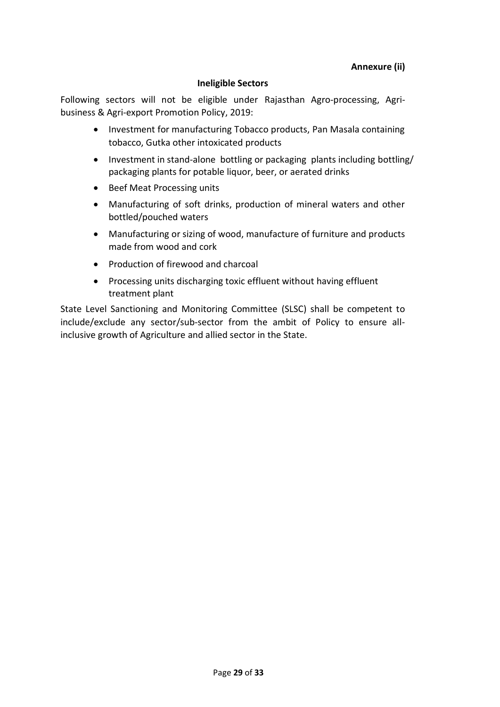### **Ineligible Sectors**

Following sectors will not be eligible under Rajasthan Agro-processing, Agribusiness & Agri-export Promotion Policy, 2019:

- Investment for manufacturing Tobacco products, Pan Masala containing tobacco, Gutka other intoxicated products
- Investment in stand-alone bottling or packaging plants including bottling/ packaging plants for potable liquor, beer, or aerated drinks
- Beef Meat Processing units
- Manufacturing of soft drinks, production of mineral waters and other bottled/pouched waters
- Manufacturing or sizing of wood, manufacture of furniture and products made from wood and cork
- Production of firewood and charcoal
- Processing units discharging toxic effluent without having effluent treatment plant

State Level Sanctioning and Monitoring Committee (SLSC) shall be competent to include/exclude any sector/sub-sector from the ambit of Policy to ensure allinclusive growth of Agriculture and allied sector in the State.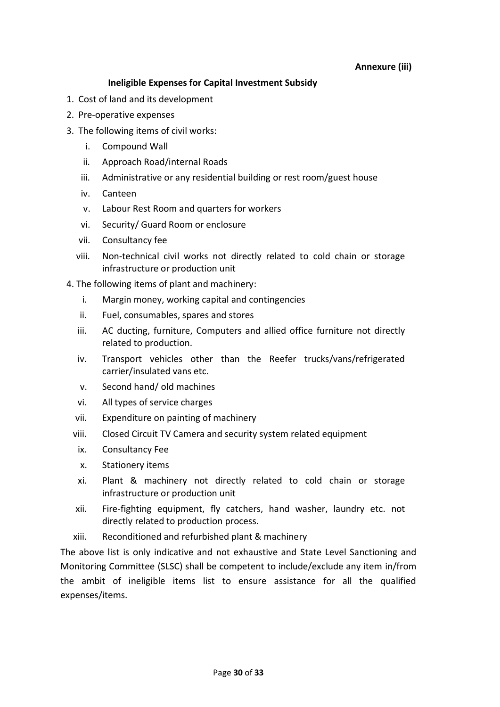### **Annexure (iii)**

# **Ineligible Expenses for Capital Investment Subsidy**

- 1. Cost of land and its development
- 2. Pre-operative expenses
- 3. The following items of civil works:
	- i. Compound Wall
	- ii. Approach Road/internal Roads
	- iii. Administrative or any residential building or rest room/guest house
	- iv. Canteen
	- v. Labour Rest Room and quarters for workers
	- vi. Security/ Guard Room or enclosure
	- vii. Consultancy fee
	- viii. Non-technical civil works not directly related to cold chain or storage infrastructure or production unit
- 4. The following items of plant and machinery:
	- i. Margin money, working capital and contingencies
	- ii. Fuel, consumables, spares and stores
	- iii. AC ducting, furniture, Computers and allied office furniture not directly related to production.
	- iv. Transport vehicles other than the Reefer trucks/vans/refrigerated carrier/insulated vans etc.
	- v. Second hand/ old machines
	- vi. All types of service charges
	- vii. Expenditure on painting of machinery
	- viii. Closed Circuit TV Camera and security system related equipment
	- ix. Consultancy Fee
	- x. Stationery items
	- xi. Plant & machinery not directly related to cold chain or storage infrastructure or production unit
	- xii. Fire-fighting equipment, fly catchers, hand washer, laundry etc. not directly related to production process.
	- xiii. Reconditioned and refurbished plant & machinery

The above list is only indicative and not exhaustive and State Level Sanctioning and Monitoring Committee (SLSC) shall be competent to include/exclude any item in/from the ambit of ineligible items list to ensure assistance for all the qualified expenses/items.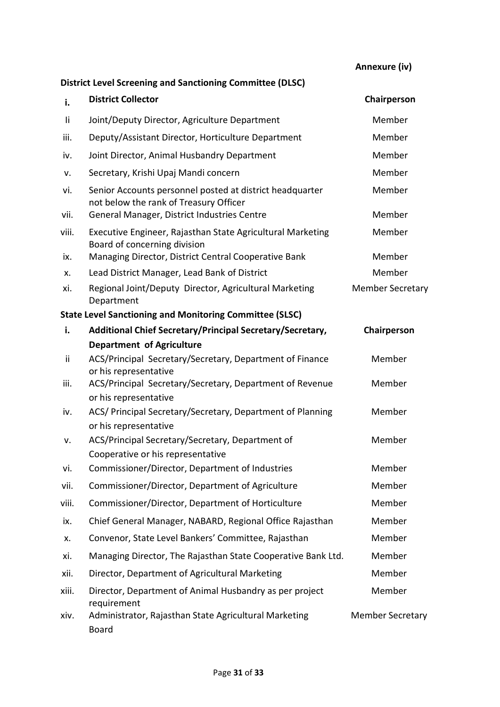**Annexure (iv)**

| <b>District Level Screening and Sanctioning Committee (DLSC)</b> |                                                                                                    |                         |
|------------------------------------------------------------------|----------------------------------------------------------------------------------------------------|-------------------------|
| i.                                                               | <b>District Collector</b>                                                                          | Chairperson             |
| Ιi                                                               | Joint/Deputy Director, Agriculture Department                                                      | Member                  |
| iii.                                                             | Deputy/Assistant Director, Horticulture Department                                                 | Member                  |
| iv.                                                              | Joint Director, Animal Husbandry Department                                                        | Member                  |
| ۷.                                                               | Secretary, Krishi Upaj Mandi concern                                                               | Member                  |
| vi.                                                              | Senior Accounts personnel posted at district headquarter<br>not below the rank of Treasury Officer | Member                  |
| vii.                                                             | General Manager, District Industries Centre                                                        | Member                  |
| viii.                                                            | Executive Engineer, Rajasthan State Agricultural Marketing<br>Board of concerning division         | Member                  |
| ix.                                                              | Managing Director, District Central Cooperative Bank                                               | Member                  |
| х.                                                               | Lead District Manager, Lead Bank of District                                                       | Member                  |
| xi.                                                              | Regional Joint/Deputy Director, Agricultural Marketing<br>Department                               | <b>Member Secretary</b> |
| <b>State Level Sanctioning and Monitoring Committee (SLSC)</b>   |                                                                                                    |                         |
| i.                                                               | Additional Chief Secretary/Principal Secretary/Secretary,                                          | Chairperson             |
|                                                                  | <b>Department of Agriculture</b>                                                                   |                         |
| ii                                                               | ACS/Principal Secretary/Secretary, Department of Finance<br>or his representative                  | Member                  |
| iii.                                                             | ACS/Principal Secretary/Secretary, Department of Revenue<br>or his representative                  | Member                  |
| iv.                                                              | ACS/ Principal Secretary/Secretary, Department of Planning<br>or his representative                | Member                  |
| ۷.                                                               | ACS/Principal Secretary/Secretary, Department of                                                   | Member                  |
| vi.                                                              | Cooperative or his representative<br>Commissioner/Director, Department of Industries               | Member                  |
| vii.                                                             | Commissioner/Director, Department of Agriculture                                                   | Member                  |
| viii.                                                            | Commissioner/Director, Department of Horticulture                                                  | Member                  |
| ix.                                                              | Chief General Manager, NABARD, Regional Office Rajasthan                                           | Member                  |
| x.                                                               | Convenor, State Level Bankers' Committee, Rajasthan                                                | Member                  |
| xi.                                                              | Managing Director, The Rajasthan State Cooperative Bank Ltd.                                       | Member                  |
| xii.                                                             | Director, Department of Agricultural Marketing                                                     | Member                  |
| xiii.                                                            | Director, Department of Animal Husbandry as per project<br>requirement                             | Member                  |
| xiv.                                                             | Administrator, Rajasthan State Agricultural Marketing<br><b>Board</b>                              | <b>Member Secretary</b> |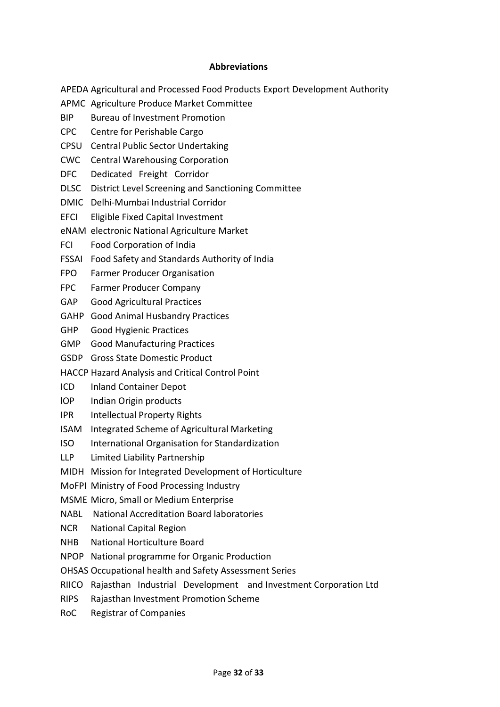#### **Abbreviations**

- APEDA Agricultural and Processed Food Products Export Development Authority
- APMC Agriculture Produce Market Committee
- BIP Bureau of Investment Promotion
- CPC Centre for Perishable Cargo
- CPSU Central Public Sector Undertaking
- CWC Central Warehousing Corporation
- DFC Dedicated Freight Corridor
- DLSC District Level Screening and Sanctioning Committee
- DMIC Delhi-Mumbai Industrial Corridor
- EFCI Eligible Fixed Capital Investment
- eNAM electronic National Agriculture Market
- FCI Food Corporation of India
- FSSAI Food Safety and Standards Authority of India
- FPO Farmer Producer Organisation
- FPC Farmer Producer Company
- GAP Good Agricultural Practices
- GAHP Good Animal Husbandry Practices
- GHP Good Hygienic Practices
- GMP Good Manufacturing Practices
- GSDP Gross State Domestic Product
- HACCP Hazard Analysis and Critical Control Point
- ICD Inland Container Depot
- lOP Indian Origin products
- IPR Intellectual Property Rights
- ISAM Integrated Scheme of Agricultural Marketing
- ISO International Organisation for Standardization
- LLP Limited Liability Partnership
- MIDH Mission for Integrated Development of Horticulture
- MoFPI Ministry of Food Processing Industry
- MSME Micro, Small or Medium Enterprise
- NABL National Accreditation Board laboratories
- NCR National Capital Region
- NHB National Horticulture Board
- NPOP National programme for Organic Production
- OHSAS Occupational health and Safety Assessment Series
- RIICO Rajasthan Industrial Development and Investment Corporation Ltd
- RIPS Rajasthan Investment Promotion Scheme
- RoC Registrar of Companies